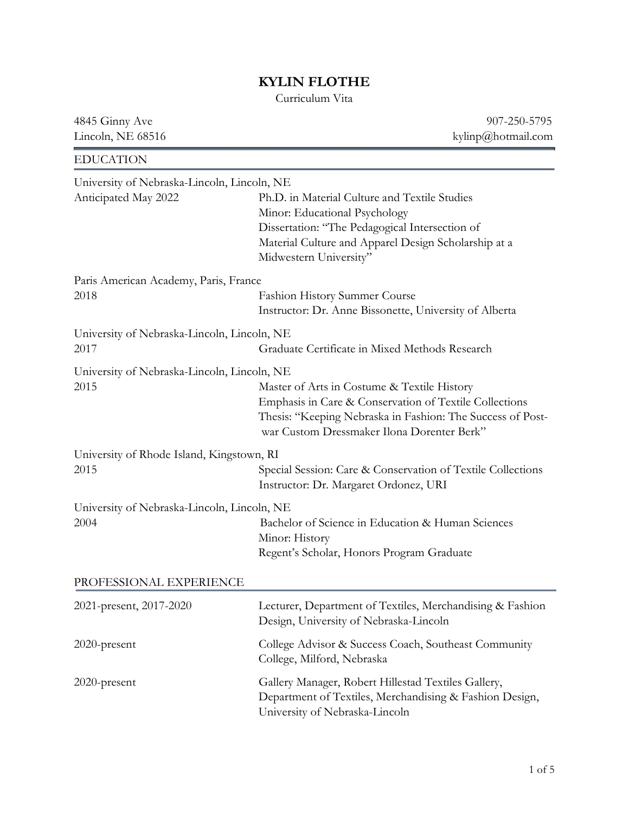## KYLIN FLOTHE

Curriculum Vita

4845 Ginny Ave 907-250-5795 Lincoln, NE 68516 kylinp@hotmail.com EDUCATION University of Nebraska-Lincoln, Lincoln, NE Anticipated May 2022 Ph.D. in Material Culture and Textile Studies Minor: Educational Psychology Dissertation: "The Pedagogical Intersection of Material Culture and Apparel Design Scholarship at a Midwestern University" Paris American Academy, Paris, France 2018 Fashion History Summer Course Instructor: Dr. Anne Bissonette, University of Alberta University of Nebraska-Lincoln, Lincoln, NE 2017 Graduate Certificate in Mixed Methods Research University of Nebraska-Lincoln, Lincoln, NE 2015 Master of Arts in Costume & Textile History Emphasis in Care & Conservation of Textile Collections Thesis: "Keeping Nebraska in Fashion: The Success of Post war Custom Dressmaker Ilona Dorenter Berk" University of Rhode Island, Kingstown, RI 2015 Special Session: Care & Conservation of Textile Collections Instructor: Dr. Margaret Ordonez, URI University of Nebraska-Lincoln, Lincoln, NE 2004 Bachelor of Science in Education & Human Sciences Minor: History Regent's Scholar, Honors Program Graduate PROFESSIONAL EXPERIENCE 2021-present, 2017-2020 Lecturer, Department of Textiles, Merchandising & Fashion Design, University of Nebraska-Lincoln 2020-present College Advisor & Success Coach, Southeast Community College, Milford, Nebraska 2020-present Gallery Manager, Robert Hillestad Textiles Gallery, Department of Textiles, Merchandising & Fashion Design, University of Nebraska-Lincoln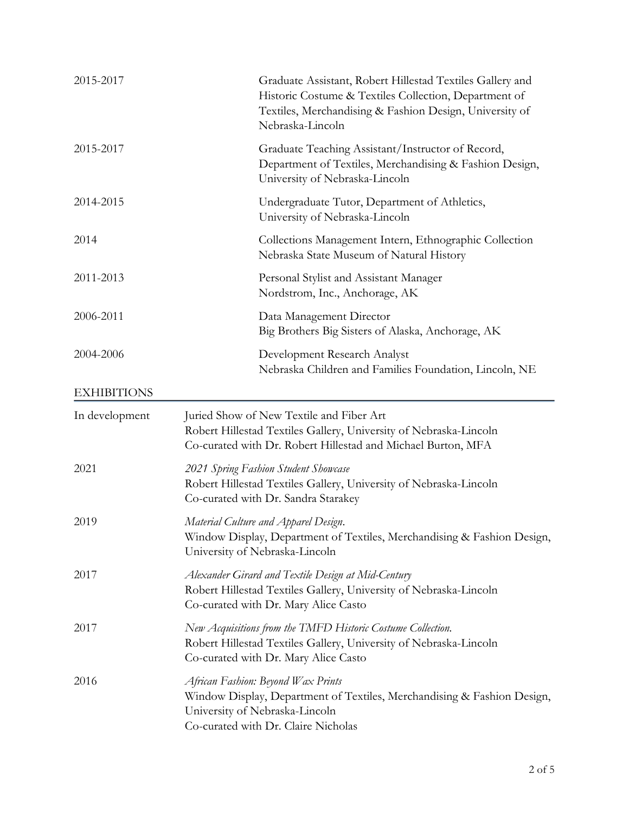| 2015-2017          | Graduate Assistant, Robert Hillestad Textiles Gallery and<br>Historic Costume & Textiles Collection, Department of<br>Textiles, Merchandising & Fashion Design, University of<br>Nebraska-Lincoln |
|--------------------|---------------------------------------------------------------------------------------------------------------------------------------------------------------------------------------------------|
| 2015-2017          | Graduate Teaching Assistant/Instructor of Record,<br>Department of Textiles, Merchandising & Fashion Design,<br>University of Nebraska-Lincoln                                                    |
| 2014-2015          | Undergraduate Tutor, Department of Athletics,<br>University of Nebraska-Lincoln                                                                                                                   |
| 2014               | Collections Management Intern, Ethnographic Collection<br>Nebraska State Museum of Natural History                                                                                                |
| 2011-2013          | Personal Stylist and Assistant Manager<br>Nordstrom, Inc., Anchorage, AK                                                                                                                          |
| 2006-2011          | Data Management Director<br>Big Brothers Big Sisters of Alaska, Anchorage, AK                                                                                                                     |
| 2004-2006          | Development Research Analyst<br>Nebraska Children and Families Foundation, Lincoln, NE                                                                                                            |
| <b>EXHIBITIONS</b> |                                                                                                                                                                                                   |
| In development     | Juried Show of New Textile and Fiber Art<br>Robert Hillestad Textiles Gallery, University of Nebraska-Lincoln<br>Co-curated with Dr. Robert Hillestad and Michael Burton, MFA                     |
| 2021               | 2021 Spring Fashion Student Showcase<br>Robert Hillestad Textiles Gallery, University of Nebraska-Lincoln<br>Co-curated with Dr. Sandra Starakey                                                  |
| 2019               | Material Culture and Apparel Design.<br>Window Display, Department of Textiles, Merchandising & Fashion Design,<br>University of Nebraska-Lincoln                                                 |
| 2017               | Alexander Girard and Textile Design at Mid-Century<br>Robert Hillestad Textiles Gallery, University of Nebraska-Lincoln<br>Co-curated with Dr. Mary Alice Casto                                   |
| 2017               | New Acquisitions from the TMFD Historic Costume Collection.<br>Robert Hillestad Textiles Gallery, University of Nebraska-Lincoln<br>Co-curated with Dr. Mary Alice Casto                          |
| 2016               | African Fashion: Beyond Wax Prints<br>Window Display, Department of Textiles, Merchandising & Fashion Design,<br>University of Nebraska-Lincoln<br>Co-curated with Dr. Claire Nicholas            |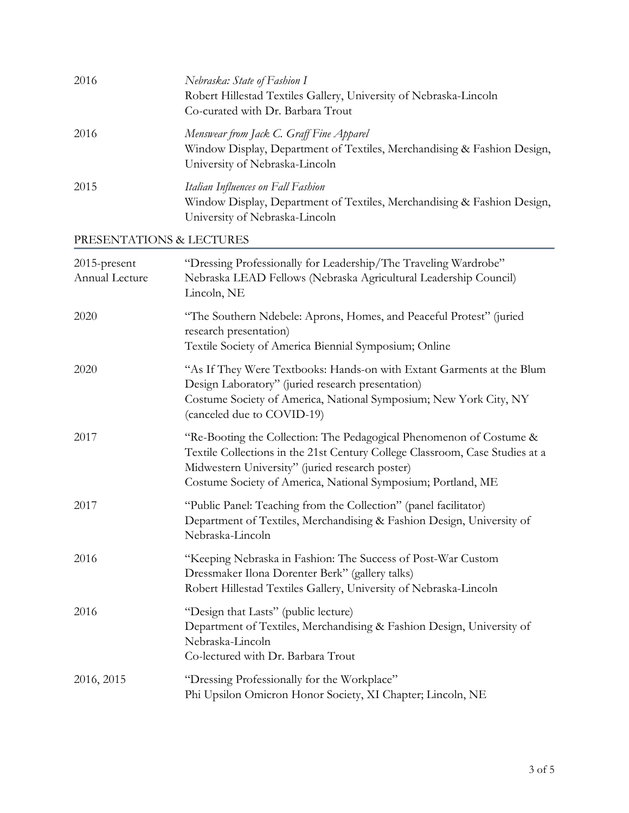| 2016                           | Nebraska: State of Fashion I<br>Robert Hillestad Textiles Gallery, University of Nebraska-Lincoln<br>Co-curated with Dr. Barbara Trout                                                                                                                                 |
|--------------------------------|------------------------------------------------------------------------------------------------------------------------------------------------------------------------------------------------------------------------------------------------------------------------|
| 2016                           | Menswear from Jack C. Graff Fine Apparel<br>Window Display, Department of Textiles, Merchandising & Fashion Design,<br>University of Nebraska-Lincoln                                                                                                                  |
| 2015                           | Italian Influences on Fall Fashion<br>Window Display, Department of Textiles, Merchandising & Fashion Design,<br>University of Nebraska-Lincoln                                                                                                                        |
| PRESENTATIONS & LECTURES       |                                                                                                                                                                                                                                                                        |
| 2015-present<br>Annual Lecture | "Dressing Professionally for Leadership/The Traveling Wardrobe"<br>Nebraska LEAD Fellows (Nebraska Agricultural Leadership Council)<br>Lincoln, NE                                                                                                                     |
| 2020                           | "The Southern Ndebele: Aprons, Homes, and Peaceful Protest" (juried<br>research presentation)<br>Textile Society of America Biennial Symposium; Online                                                                                                                 |
| 2020                           | "As If They Were Textbooks: Hands-on with Extant Garments at the Blum<br>Design Laboratory" (juried research presentation)<br>Costume Society of America, National Symposium; New York City, NY<br>(canceled due to COVID-19)                                          |
| 2017                           | "Re-Booting the Collection: The Pedagogical Phenomenon of Costume &<br>Textile Collections in the 21st Century College Classroom, Case Studies at a<br>Midwestern University" (juried research poster)<br>Costume Society of America, National Symposium; Portland, ME |
| 2017                           | "Public Panel: Teaching from the Collection" (panel facilitator)<br>Department of Textiles, Merchandising & Fashion Design, University of<br>Nebraska-Lincoln                                                                                                          |
| 2016                           | "Keeping Nebraska in Fashion: The Success of Post-War Custom<br>Dressmaker Ilona Dorenter Berk" (gallery talks)<br>Robert Hillestad Textiles Gallery, University of Nebraska-Lincoln                                                                                   |
| 2016                           | "Design that Lasts" (public lecture)<br>Department of Textiles, Merchandising & Fashion Design, University of<br>Nebraska-Lincoln<br>Co-lectured with Dr. Barbara Trout                                                                                                |
| 2016, 2015                     | "Dressing Professionally for the Workplace"<br>Phi Upsilon Omicron Honor Society, XI Chapter; Lincoln, NE                                                                                                                                                              |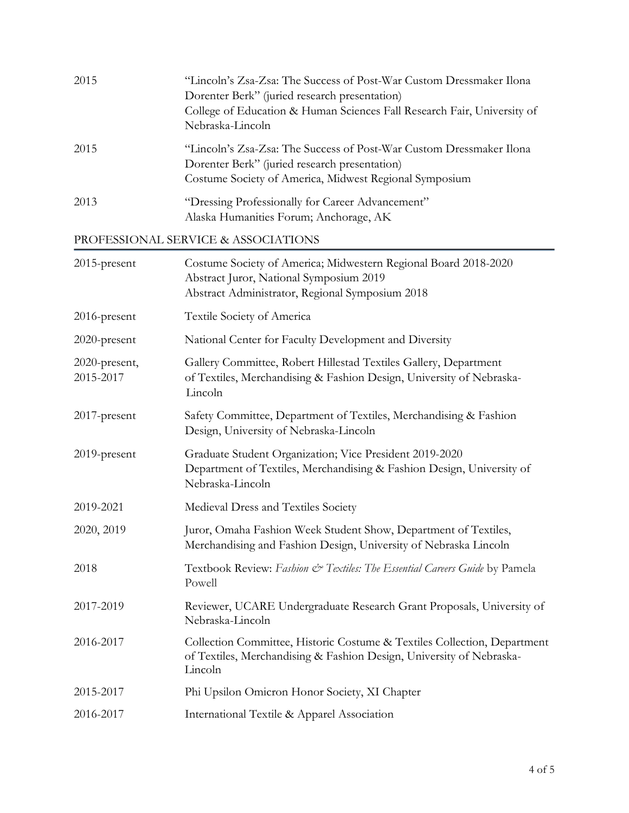| 2015 | "Lincoln's Zsa-Zsa: The Success of Post-War Custom Dressmaker Ilona<br>Dorenter Berk" (juried research presentation)<br>College of Education & Human Sciences Fall Research Fair, University of<br>Nebraska-Lincoln |
|------|---------------------------------------------------------------------------------------------------------------------------------------------------------------------------------------------------------------------|
| 2015 | "Lincoln's Zsa-Zsa: The Success of Post-War Custom Dressmaker Ilona<br>Dorenter Berk" (juried research presentation)<br>Costume Society of America, Midwest Regional Symposium                                      |
| 2013 | "Dressing Professionally for Career Advancement"<br>Alaska Humanities Forum; Anchorage, AK                                                                                                                          |

## PROFESSIONAL SERVICE & ASSOCIATIONS

| 2015-present               | Costume Society of America; Midwestern Regional Board 2018-2020<br>Abstract Juror, National Symposium 2019<br>Abstract Administrator, Regional Symposium 2018 |
|----------------------------|---------------------------------------------------------------------------------------------------------------------------------------------------------------|
| 2016-present               | Textile Society of America                                                                                                                                    |
| 2020-present               | National Center for Faculty Development and Diversity                                                                                                         |
| 2020-present,<br>2015-2017 | Gallery Committee, Robert Hillestad Textiles Gallery, Department<br>of Textiles, Merchandising & Fashion Design, University of Nebraska-<br>Lincoln           |
| 2017-present               | Safety Committee, Department of Textiles, Merchandising & Fashion<br>Design, University of Nebraska-Lincoln                                                   |
| 2019-present               | Graduate Student Organization; Vice President 2019-2020<br>Department of Textiles, Merchandising & Fashion Design, University of<br>Nebraska-Lincoln          |
| 2019-2021                  | Medieval Dress and Textiles Society                                                                                                                           |
| 2020, 2019                 | Juror, Omaha Fashion Week Student Show, Department of Textiles,<br>Merchandising and Fashion Design, University of Nebraska Lincoln                           |
| 2018                       | Textbook Review: Fashion & Textiles: The Essential Careers Guide by Pamela<br>Powell                                                                          |
| 2017-2019                  | Reviewer, UCARE Undergraduate Research Grant Proposals, University of<br>Nebraska-Lincoln                                                                     |
| 2016-2017                  | Collection Committee, Historic Costume & Textiles Collection, Department<br>of Textiles, Merchandising & Fashion Design, University of Nebraska-<br>Lincoln   |
| 2015-2017                  | Phi Upsilon Omicron Honor Society, XI Chapter                                                                                                                 |
| 2016-2017                  | International Textile & Apparel Association                                                                                                                   |